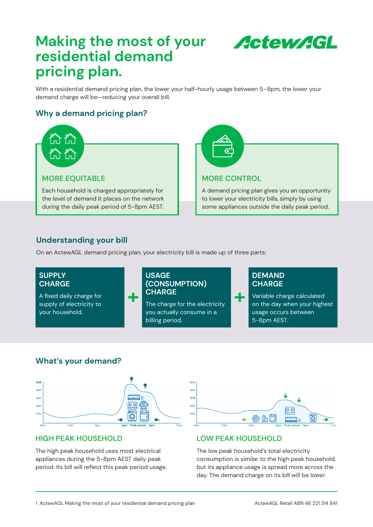# **Making the most of your residential demand pricing plan.**

**Actew AGL** 

**More control**

A demand pricing plan gives you an opportunity to lower your electricity bills, simply by using some appliances outside the daily peak period.

With a residential demand pricing plan, the lower your half-hourly usage between 5–8pm, the lower your demand charge will be—reducing your overall bill.

## **Why a demand pricing plan?**



## **Understanding your bill Why a demand pricing plan?**

On an ActewAGL demand pricing plan, your electricity bill is made up of three parts:<br>



5kW

#### **What's your demand? What's your demand?**

![](_page_0_Figure_9.jpeg)

### **HIGH PEAK HOUSEHOLD**

The high peak household uses most electrical appliances during the 5-8pm AEST daily peak period. Its bill will reflect this peak period usage.

![](_page_0_Figure_12.jpeg)

### **LOW PEAK HOUSEHOLD**

consumption is similar to the high peak household, but its appliance usage is spread more across the day. The demand charge on its bill will be lower. The low peak household's total electricity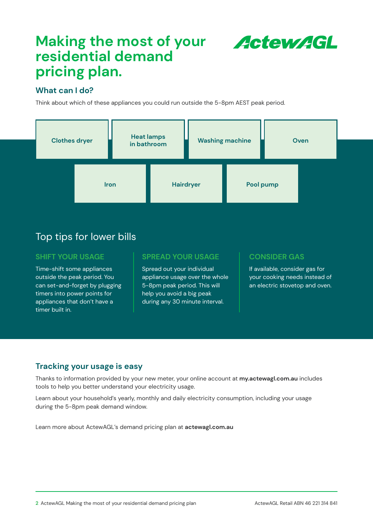# Making the most of your **ActewAGL residential demand pricing plan.**

### **What can I do?**

Think about which of these appliances you could run outside the 5-8pm AEST peak period.

![](_page_1_Figure_4.jpeg)

## Top tips for lower bills

#### **SHIFT YOUR USAGE**

Time-shift some appliances outside the peak period. You can set-and-forget by plugging timers into power points for appliances that don't have a timer built in.

#### **SPREAD YOUR USAGE**

Spread out your individual appliance usage over the whole 5-8pm peak period. This will help you avoid a big peak during any 30 minute interval.

### **CONSIDER GAS**

If available, consider gas for your cooking needs instead of an electric stovetop and oven.

### **Tracking your usage is easy**

Thanks to information provided by your new meter, your online account at **[my.actewagl.com.au](https://www.actewagl.com.au/login)** includes tools to help you better understand your electricity usage.

Learn about your household's yearly, monthly and daily electricity consumption, including your usage during the 5-8pm peak demand window.

Learn more about ActewAGL's demand pricing plan at **[actewagl.com.au](www.actewagl.com.au)**